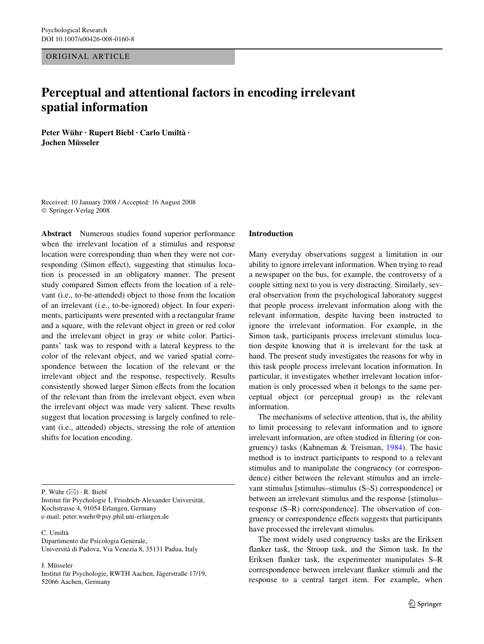ORIGINAL ARTICLE

# **Perceptual and attentional factors in encoding irrelevant spatial information**

**Peter Wühr · Rupert Biebl · Carlo Umiltà · Jochen Müsseler** 

Received: 10 January 2008 / Accepted: 16 August 2008 © Springer-Verlag 2008

**Abstract** Numerous studies found superior performance when the irrelevant location of a stimulus and response location were corresponding than when they were not corresponding (Simon effect), suggesting that stimulus location is processed in an obligatory manner. The present study compared Simon effects from the location of a relevant (i.e., to-be-attended) object to those from the location of an irrelevant (i.e., to-be-ignored) object. In four experiments, participants were presented with a rectangular frame and a square, with the relevant object in green or red color and the irrelevant object in gray or white color. Participants' task was to respond with a lateral keypress to the color of the relevant object, and we varied spatial correspondence between the location of the relevant or the irrelevant object and the response, respectively. Results consistently showed larger Simon effects from the location of the relevant than from the irrelevant object, even when the irrelevant object was made very salient. These results suggest that location processing is largely confined to relevant (i.e., attended) objects, stressing the role of attention shifts for location encoding.

P. Wühr  $(\boxtimes) \cdot$  R. Biebl

Institut für Psychologie I. Friedrich-Alexander Universität, Kochstrasse 4, 91054 Erlangen, Germany e-mail: peter.wuehr@psy.phil.uni-erlangen.de

C. Umiltà

Dipartimento die Psicologia Generale, Università di Padova, Via Venezia 8, 35131 Padua, Italy

J. Müsseler

Institut für Psychologie, RWTH Aachen, Jägerstraße 17/19, 52066 Aachen, Germany

## **Introduction**

Many everyday observations suggest a limitation in our ability to ignore irrelevant information. When trying to read a newspaper on the bus, for example, the controversy of a couple sitting next to you is very distracting. Similarly, several observation from the psychological laboratory suggest that people process irrelevant information along with the relevant information, despite having been instructed to ignore the irrelevant information. For example, in the Simon task, participants process irrelevant stimulus location despite knowing that it is irrelevant for the task at hand. The present study investigates the reasons for why in this task people process irrelevant location information. In particular, it investigates whether irrelevant location information is only processed when it belongs to the same perceptual object (or perceptual group) as the relevant information.

The mechanisms of selective attention, that is, the ability to limit processing to relevant information and to ignore irrelevant information, are often studied in filtering (or congruency) tasks (Kahneman & Treisman, [1984\)](#page-13-0). The basic method is to instruct participants to respond to a relevant stimulus and to manipulate the congruency (or correspondence) either between the relevant stimulus and an irrelevant stimulus [stimulus–stimulus (S–S) correspondence] or between an irrelevant stimulus and the response [stimulus– response (S–R) correspondence]. The observation of congruency or correspondence effects suggests that participants have processed the irrelevant stimulus.

The most widely used congruency tasks are the Eriksen flanker task, the Stroop task, and the Simon task. In the Eriksen flanker task, the experimenter manipulates S–R correspondence between irrelevant flanker stimuli and the response to a central target item. For example, when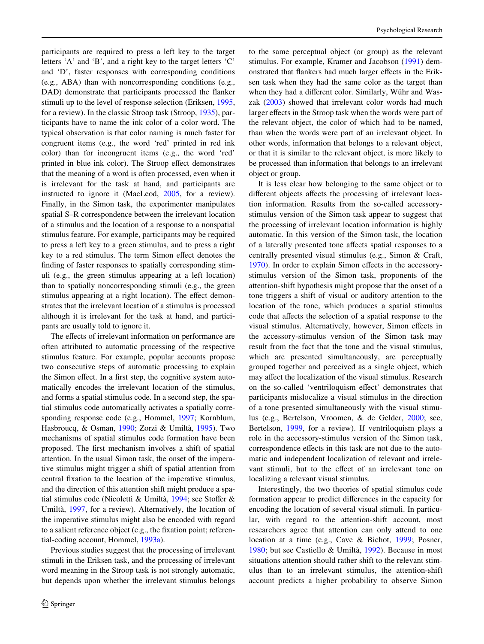participants are required to press a left key to the target letters 'A' and 'B', and a right key to the target letters 'C' and 'D', faster responses with corresponding conditions (e.g., ABA) than with noncorresponding conditions (e.g., DAD) demonstrate that participants processed the flanker stimuli up to the level of response selection (Eriksen, [1995,](#page-13-1) for a review). In the classic Stroop task (Stroop, [1935\)](#page-13-2), participants have to name the ink color of a color word. The typical observation is that color naming is much faster for congruent items (e.g., the word 'red' printed in red ink color) than for incongruent items (e.g., the word 'red' printed in blue ink color). The Stroop effect demonstrates that the meaning of a word is often processed, even when it is irrelevant for the task at hand, and participants are instructed to ignore it (MacLeod, [2005](#page-13-3), for a review). Finally, in the Simon task, the experimenter manipulates spatial S–R correspondence between the irrelevant location of a stimulus and the location of a response to a nonspatial stimulus feature. For example, participants may be required to press a left key to a green stimulus, and to press a right key to a red stimulus. The term Simon effect denotes the finding of faster responses to spatially corresponding stimuli (e.g., the green stimulus appearing at a left location) than to spatially noncorresponding stimuli (e.g., the green stimulus appearing at a right location). The effect demonstrates that the irrelevant location of a stimulus is processed although it is irrelevant for the task at hand, and participants are usually told to ignore it.

The effects of irrelevant information on performance are often attributed to automatic processing of the respective stimulus feature. For example, popular accounts propose two consecutive steps of automatic processing to explain the Simon effect. In a first step, the cognitive system automatically encodes the irrelevant location of the stimulus, and forms a spatial stimulus code. In a second step, the spatial stimulus code automatically activates a spatially corresponding response code (e.g., Hommel, [1997;](#page-13-4) Kornblum, Hasbroucq, & Osman, [1990;](#page-13-5) Zorzi & Umiltà, [1995\)](#page-13-6). Two mechanisms of spatial stimulus code formation have been proposed. The first mechanism involves a shift of spatial attention. In the usual Simon task, the onset of the imperative stimulus might trigger a shift of spatial attention from central fixation to the location of the imperative stimulus, and the direction of this attention shift might produce a spa-tial stimulus code (Nicoletti & Umiltà, [1994](#page-13-7); see Stoffer & Umiltà, [1997,](#page-13-8) for a review). Alternatively, the location of the imperative stimulus might also be encoded with regard to a salient reference object (e.g., the fixation point; referential-coding account, Hommel, [1993a](#page-13-9)).

Previous studies suggest that the processing of irrelevant stimuli in the Eriksen task, and the processing of irrelevant word meaning in the Stroop task is not strongly automatic, but depends upon whether the irrelevant stimulus belongs to the same perceptual object (or group) as the relevant stimulus. For example, Kramer and Jacobson [\(1991](#page-13-10)) demonstrated that flankers had much larger effects in the Eriksen task when they had the same color as the target than when they had a different color. Similarly, Wühr and Waszak [\(2003](#page-13-11)) showed that irrelevant color words had much larger effects in the Stroop task when the words were part of the relevant object, the color of which had to be named, than when the words were part of an irrelevant object. In other words, information that belongs to a relevant object, or that it is similar to the relevant object, is more likely to be processed than information that belongs to an irrelevant object or group.

It is less clear how belonging to the same object or to different objects affects the processing of irrelevant location information. Results from the so-called accessorystimulus version of the Simon task appear to suggest that the processing of irrelevant location information is highly automatic. In this version of the Simon task, the location of a laterally presented tone affects spatial responses to a centrally presented visual stimulus (e.g., Simon & Craft, [1970](#page-13-12)). In order to explain Simon effects in the accessorystimulus version of the Simon task, proponents of the attention-shift hypothesis might propose that the onset of a tone triggers a shift of visual or auditory attention to the location of the tone, which produces a spatial stimulus code that affects the selection of a spatial response to the visual stimulus. Alternatively, however, Simon effects in the accessory-stimulus version of the Simon task may result from the fact that the tone and the visual stimulus, which are presented simultaneously, are perceptually grouped together and perceived as a single object, which may affect the localization of the visual stimulus. Research on the so-called 'ventriloquism effect' demonstrates that participants mislocalize a visual stimulus in the direction of a tone presented simultaneously with the visual stimulus (e.g., Bertelson, Vroomen, & de Gelder, [2000](#page-12-0); see, Bertelson, [1999](#page-12-1), for a review). If ventriloquism plays a role in the accessory-stimulus version of the Simon task, correspondence effects in this task are not due to the automatic and independent localization of relevant and irrelevant stimuli, but to the effect of an irrelevant tone on localizing a relevant visual stimulus.

Interestingly, the two theories of spatial stimulus code formation appear to predict differences in the capacity for encoding the location of several visual stimuli. In particular, with regard to the attention-shift account, most researchers agree that attention can only attend to one location at a time (e.g., Cave & Bichot, [1999;](#page-13-13) Posner, [1980](#page-13-14); but see Castiello & Umiltà, [1992](#page-13-15)). Because in most situations attention should rather shift to the relevant stimulus than to an irrelevant stimulus, the attention-shift account predicts a higher probability to observe Simon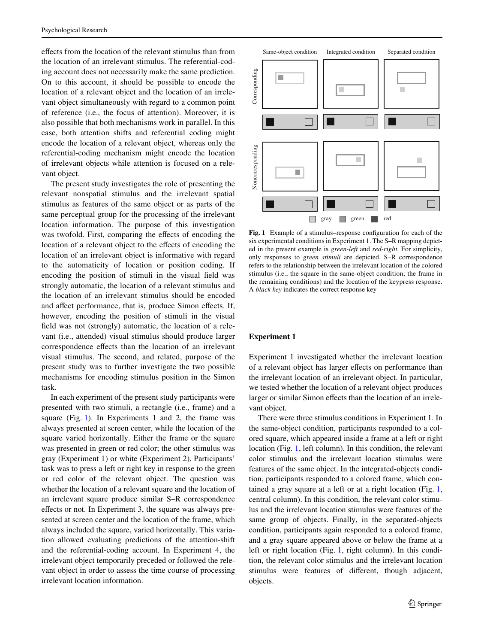effects from the location of the relevant stimulus than from the location of an irrelevant stimulus. The referential-coding account does not necessarily make the same prediction. On to this account, it should be possible to encode the location of a relevant object and the location of an irrelevant object simultaneously with regard to a common point of reference (i.e., the focus of attention). Moreover, it is also possible that both mechanisms work in parallel. In this case, both attention shifts and referential coding might encode the location of a relevant object, whereas only the referential-coding mechanism might encode the location of irrelevant objects while attention is focused on a relevant object.

The present study investigates the role of presenting the relevant nonspatial stimulus and the irrelevant spatial stimulus as features of the same object or as parts of the same perceptual group for the processing of the irrelevant location information. The purpose of this investigation was twofold. First, comparing the effects of encoding the location of a relevant object to the effects of encoding the location of an irrelevant object is informative with regard to the automaticity of location or position coding. If encoding the position of stimuli in the visual field was strongly automatic, the location of a relevant stimulus and the location of an irrelevant stimulus should be encoded and affect performance, that is, produce Simon effects. If, however, encoding the position of stimuli in the visual field was not (strongly) automatic, the location of a relevant (i.e., attended) visual stimulus should produce larger correspondence effects than the location of an irrelevant visual stimulus. The second, and related, purpose of the present study was to further investigate the two possible mechanisms for encoding stimulus position in the Simon task.

In each experiment of the present study participants were presented with two stimuli, a rectangle (i.e., frame) and a square (Fig. [1](#page-2-0)). In Experiments 1 and 2, the frame was always presented at screen center, while the location of the square varied horizontally. Either the frame or the square was presented in green or red color; the other stimulus was gray (Experiment 1) or white (Experiment 2). Participants' task was to press a left or right key in response to the green or red color of the relevant object. The question was whether the location of a relevant square and the location of an irrelevant square produce similar S–R correspondence effects or not. In Experiment 3, the square was always presented at screen center and the location of the frame, which always included the square, varied horizontally. This variation allowed evaluating predictions of the attention-shift and the referential-coding account. In Experiment 4, the irrelevant object temporarily preceded or followed the relevant object in order to assess the time course of processing irrelevant location information.



<span id="page-2-0"></span>**Fig. 1** Example of a stimulus–response configuration for each of the six experimental conditions in Experiment 1. The S–R mapping depicted in the present example is *green-left* and *red-right*. For simplicity, only responses to *green stimuli* are depicted. S–R correspondence refers to the relationship between the irrelevant location of the colored stimulus (i.e., the square in the same-object condition; the frame in the remaining conditions) and the location of the keypress response. A *black key* indicates the correct response key

# **Experiment 1**

Experiment 1 investigated whether the irrelevant location of a relevant object has larger effects on performance than the irrelevant location of an irrelevant object. In particular, we tested whether the location of a relevant object produces larger or similar Simon effects than the location of an irrelevant object.

There were three stimulus conditions in Experiment 1. In the same-object condition, participants responded to a colored square, which appeared inside a frame at a left or right location (Fig. [1,](#page-2-0) left column). In this condition, the relevant color stimulus and the irrelevant location stimulus were features of the same object. In the integrated-objects condition, participants responded to a colored frame, which contained a gray square at a left or at a right location (Fig. [1,](#page-2-0) central column). In this condition, the relevant color stimulus and the irrelevant location stimulus were features of the same group of objects. Finally, in the separated-objects condition, participants again responded to a colored frame, and a gray square appeared above or below the frame at a left or right location (Fig. [1](#page-2-0), right column). In this condition, the relevant color stimulus and the irrelevant location stimulus were features of different, though adjacent, objects.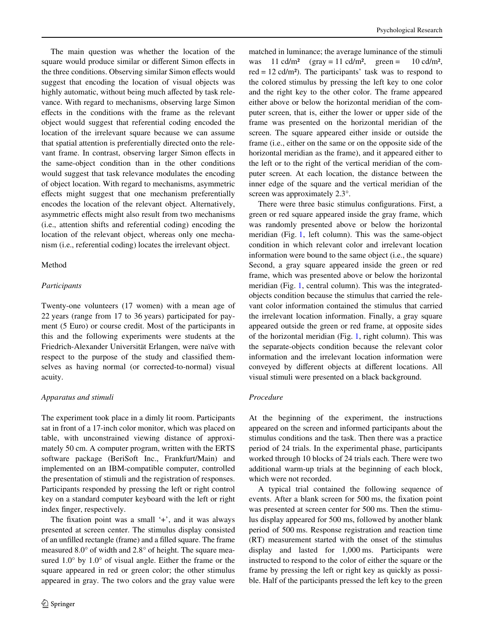The main question was whether the location of the square would produce similar or different Simon effects in the three conditions. Observing similar Simon effects would suggest that encoding the location of visual objects was highly automatic, without being much affected by task relevance. With regard to mechanisms, observing large Simon effects in the conditions with the frame as the relevant object would suggest that referential coding encoded the location of the irrelevant square because we can assume that spatial attention is preferentially directed onto the relevant frame. In contrast, observing larger Simon effects in the same-object condition than in the other conditions would suggest that task relevance modulates the encoding of object location. With regard to mechanisms, asymmetric effects might suggest that one mechanism preferentially encodes the location of the relevant object. Alternatively, asymmetric effects might also result from two mechanisms (i.e., attention shifts and referential coding) encoding the location of the relevant object, whereas only one mechanism (i.e., referential coding) locates the irrelevant object.

# Method

# *Participants*

Twenty-one volunteers (17 women) with a mean age of 22 years (range from 17 to 36 years) participated for payment (5 Euro) or course credit. Most of the participants in this and the following experiments were students at the Friedrich-Alexander Universität Erlangen, were naïve with respect to the purpose of the study and classified themselves as having normal (or corrected-to-normal) visual acuity.

## *Apparatus and stimuli*

The experiment took place in a dimly lit room. Participants sat in front of a 17-inch color monitor, which was placed on table, with unconstrained viewing distance of approximately 50 cm. A computer program, written with the ERTS software package (BeriSoft Inc., Frankfurt/Main) and implemented on an IBM-compatible computer, controlled the presentation of stimuli and the registration of responses. Participants responded by pressing the left or right control key on a standard computer keyboard with the left or right index finger, respectively.

The fixation point was a small  $'+$ , and it was always presented at screen center. The stimulus display consisted of an unfilled rectangle (frame) and a filled square. The frame measured 8.0° of width and 2.8° of height. The square measured 1.0° by 1.0° of visual angle. Either the frame or the square appeared in red or green color; the other stimulus appeared in gray. The two colors and the gray value were matched in luminance; the average luminance of the stimuli was  $11 \text{ cd/m}^2$  (gray = 11 cd/m<sup>2</sup>, green =  $10 \text{ cd/m}^2$ , red  $= 12$  cd/m<sup>2</sup>). The participants' task was to respond to the colored stimulus by pressing the left key to one color and the right key to the other color. The frame appeared either above or below the horizontal meridian of the computer screen, that is, either the lower or upper side of the frame was presented on the horizontal meridian of the screen. The square appeared either inside or outside the frame (i.e., either on the same or on the opposite side of the horizontal meridian as the frame), and it appeared either to the left or to the right of the vertical meridian of the computer screen. At each location, the distance between the inner edge of the square and the vertical meridian of the screen was approximately  $2.3^{\circ}$ .

There were three basic stimulus configurations. First, a green or red square appeared inside the gray frame, which was randomly presented above or below the horizontal meridian (Fig. [1,](#page-2-0) left column). This was the same-object condition in which relevant color and irrelevant location information were bound to the same object (i.e., the square) Second, a gray square appeared inside the green or red frame, which was presented above or below the horizontal meridian (Fig. [1](#page-2-0), central column). This was the integratedobjects condition because the stimulus that carried the relevant color information contained the stimulus that carried the irrelevant location information. Finally, a gray square appeared outside the green or red frame, at opposite sides of the horizontal meridian (Fig. [1,](#page-2-0) right column). This was the separate-objects condition because the relevant color information and the irrelevant location information were conveyed by different objects at different locations. All visual stimuli were presented on a black background.

# *Procedure*

At the beginning of the experiment, the instructions appeared on the screen and informed participants about the stimulus conditions and the task. Then there was a practice period of 24 trials. In the experimental phase, participants worked through 10 blocks of 24 trials each. There were two additional warm-up trials at the beginning of each block, which were not recorded.

A typical trial contained the following sequence of events. After a blank screen for 500 ms, the fixation point was presented at screen center for 500 ms. Then the stimulus display appeared for 500 ms, followed by another blank period of 500 ms. Response registration and reaction time (RT) measurement started with the onset of the stimulus display and lasted for 1,000 ms. Participants were instructed to respond to the color of either the square or the frame by pressing the left or right key as quickly as possible. Half of the participants pressed the left key to the green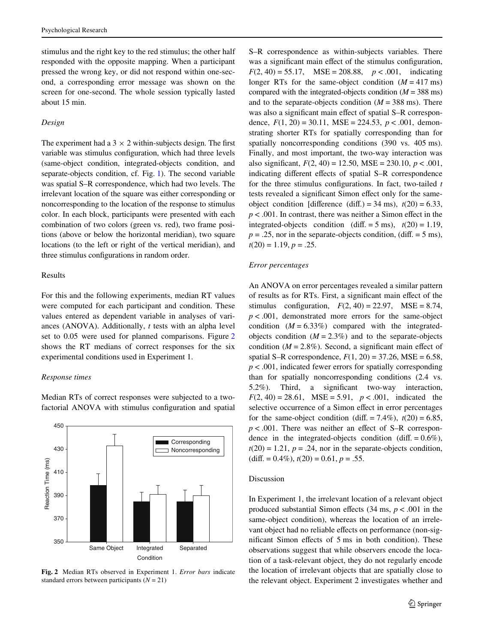stimulus and the right key to the red stimulus; the other half responded with the opposite mapping. When a participant pressed the wrong key, or did not respond within one-second, a corresponding error message was shown on the screen for one-second. The whole session typically lasted about 15 min.

#### *Design*

The experiment had a  $3 \times 2$  within-subjects design. The first variable was stimulus configuration, which had three levels (same-object condition, integrated-objects condition, and separate-objects condition, cf. Fig. [1\)](#page-2-0). The second variable was spatial S–R correspondence, which had two levels. The irrelevant location of the square was either corresponding or noncorresponding to the location of the response to stimulus color. In each block, participants were presented with each combination of two colors (green vs. red), two frame positions (above or below the horizontal meridian), two square locations (to the left or right of the vertical meridian), and three stimulus configurations in random order.

## Results

For this and the following experiments, median RT values were computed for each participant and condition. These values entered as dependent variable in analyses of variances (ANOVA). Additionally, *t* tests with an alpha level set to 0.05 were used for planned comparisons. Figure [2](#page-4-0) shows the RT medians of correct responses for the six experimental conditions used in Experiment 1.

#### *Response times*

Median RTs of correct responses were subjected to a twofactorial ANOVA with stimulus configuration and spatial



<span id="page-4-0"></span>**Fig. 2** Median RTs observed in Experiment 1. *Error bars* indicate standard errors between participants  $(N = 21)$ 

S–R correspondence as within-subjects variables. There was a significant main effect of the stimulus configuration,  $F(2, 40) = 55.17$ , MSE = 208.88,  $p < .001$ , indicating longer RTs for the same-object condition  $(M = 417 \text{ ms})$ compared with the integrated-objects condition  $(M = 388 \text{ ms})$ and to the separate-objects condition  $(M = 388 \text{ ms})$ . There was also a significant main effect of spatial S–R correspondence,  $F(1, 20) = 30.11$ ,  $MSE = 224.53$ ,  $p < .001$ , demonstrating shorter RTs for spatially corresponding than for spatially noncorresponding conditions (390 vs. 405 ms). Finally, and most important, the two-way interaction was also significant,  $F(2, 40) = 12.50$ ,  $MSE = 230.10$ ,  $p < .001$ , indicating different effects of spatial S–R correspondence for the three stimulus configurations. In fact, two-tailed *t* tests revealed a significant Simon effect only for the sameobject condition [difference (diff.) = 34 ms),  $t(20) = 6.33$ ,  $p < .001$ . In contrast, there was neither a Simon effect in the integrated-objects condition (diff.  $= 5$  ms),  $t(20) = 1.19$ ,  $p = 0.25$ , nor in the separate-objects condition, (diff. = 5 ms),  $t(20) = 1.19, p = .25.$ 

## *Error percentages*

An ANOVA on error percentages revealed a similar pattern of results as for RTs. First, a significant main effect of the stimulus configuration,  $F(2, 40) = 22.97$ , MSE = 8.74, *p* < .001, demonstrated more errors for the same-object condition  $(M = 6.33\%)$  compared with the integratedobjects condition  $(M = 2.3\%)$  and to the separate-objects condition  $(M = 2.8\%)$ . Second, a significant main effect of spatial S–R correspondence,  $F(1, 20) = 37.26$ , MSE = 6.58, *p* < .001, indicated fewer errors for spatially corresponding than for spatially noncorresponding conditions (2.4 vs. 5.2%). Third, a significant two-way interaction,  $F(2, 40) = 28.61$ , MSE = 5.91,  $p < .001$ , indicated the selective occurrence of a Simon effect in error percentages for the same-object condition (diff.  $= 7.4\%$ ),  $t(20) = 6.85$ ,  $p < .001$ . There was neither an effect of S–R correspondence in the integrated-objects condition (diff.  $= 0.6\%$ ),  $t(20) = 1.21$ ,  $p = .24$ , nor in the separate-objects condition,  $(diff. = 0.4\%), t(20) = 0.61, p = .55.$ 

## Discussion

In Experiment 1, the irrelevant location of a relevant object produced substantial Simon effects  $(34 \text{ ms}, p < .001 \text{ in the})$ same-object condition), whereas the location of an irrelevant object had no reliable effects on performance (non-significant Simon effects of 5 ms in both condition). These observations suggest that while observers encode the location of a task-relevant object, they do not regularly encode the location of irrelevant objects that are spatially close to the relevant object. Experiment 2 investigates whether and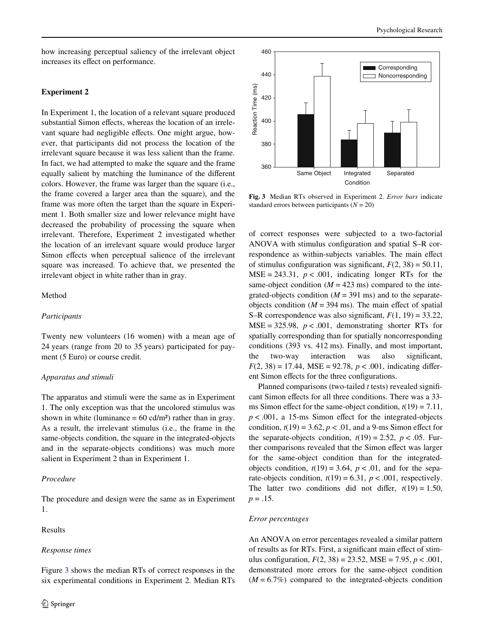how increasing perceptual saliency of the irrelevant object increases its effect on performance.

# **Experiment 2**

In Experiment 1, the location of a relevant square produced substantial Simon effects, whereas the location of an irrelevant square had negligible effects. One might argue, however, that participants did not process the location of the irrelevant square because it was less salient than the frame. In fact, we had attempted to make the square and the frame equally salient by matching the luminance of the different colors. However, the frame was larger than the square (i.e., the frame covered a larger area than the square), and the frame was more often the target than the square in Experiment 1. Both smaller size and lower relevance might have decreased the probability of processing the square when irrelevant. Therefore, Experiment 2 investigated whether the location of an irrelevant square would produce larger Simon effects when perceptual salience of the irrelevant square was increased. To achieve that, we presented the irrelevant object in white rather than in gray.

#### Method

# *Participants*

Twenty new volunteers (16 women) with a mean age of 24 years (range from 20 to 35 years) participated for payment (5 Euro) or course credit.

## *Apparatus and stimuli*

The apparatus and stimuli were the same as in Experiment 1. The only exception was that the uncolored stimulus was shown in white (luminance  $= 60$  cd/m<sup>2</sup>) rather than in gray. As a result, the irrelevant stimulus (i.e., the frame in the same-objects condition, the square in the integrated-objects and in the separate-objects conditions) was much more salient in Experiment 2 than in Experiment 1.

# *Procedure*

The procedure and design were the same as in Experiment 1.

# Results

#### *Response times*

Figure [3](#page-5-0) shows the median RTs of correct responses in the six experimental conditions in Experiment 2. Median RTs



<span id="page-5-0"></span>**Fig. 3** Median RTs observed in Experiment 2. *Error bars* indicate

of correct responses were subjected to a two-factorial ANOVA with stimulus configuration and spatial  $S-R$  correspondence as within-subjects variables. The main effect of stimulus configuration was significant,  $F(2, 38) = 50.11$ ,  $MSE = 243.31$ ,  $p < .001$ , indicating longer RTs for the same-object condition  $(M = 423 \text{ ms})$  compared to the integrated-objects condition  $(M = 391 \text{ ms})$  and to the separateobjects condition  $(M = 394 \text{ ms})$ . The main effect of spatial S–R correspondence was also significant,  $F(1, 19) = 33.22$ ,  $MSE = 325.98$ ,  $p < .001$ , demonstrating shorter RTs for spatially corresponding than for spatially noncorresponding conditions (393 vs. 412 ms). Finally, and most important, the two-way interaction was also significant,  $F(2, 38) = 17.44$ , MSE = 92.78,  $p < .001$ , indicating different Simon effects for the three configurations.

Planned comparisons (two-tailed  $t$  tests) revealed significant Simon effects for all three conditions. There was a 33ms Simon effect for the same-object condition,  $t(19) = 7.11$ ,  $p < .001$ , a 15-ms Simon effect for the integrated-objects condition,  $t(19) = 3.62$ ,  $p < .01$ , and a 9-ms Simon effect for the separate-objects condition,  $t(19) = 2.52$ ,  $p < .05$ . Further comparisons revealed that the Simon effect was larger for the same-object condition than for the integratedobjects condition,  $t(19) = 3.64$ ,  $p < .01$ , and for the separate-objects condition,  $t(19) = 6.31$ ,  $p < .001$ , respectively. The latter two conditions did not differ,  $t(19) = 1.50$ ,  $p = .15$ .

## *Error percentages*

An ANOVA on error percentages revealed a similar pattern of results as for RTs. First, a significant main effect of stimulus configuration,  $F(2, 38) = 23.52$ ,  $MSE = 7.95$ ,  $p < .001$ , demonstrated more errors for the same-object condition  $(M = 6.7\%)$  compared to the integrated-objects condition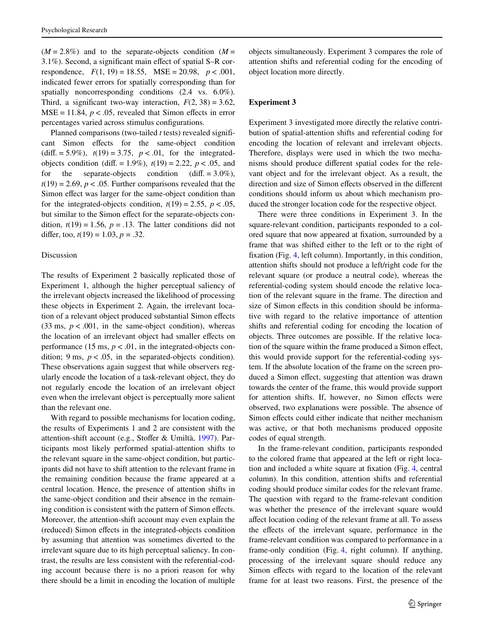$(M = 2.8\%)$  and to the separate-objects condition  $(M = 1.8\%)$  $3.1\%$ ). Second, a significant main effect of spatial S–R correspondence,  $F(1, 19) = 18.55$ ,  $MSE = 20.98$ ,  $p < .001$ , indicated fewer errors for spatially corresponding than for spatially noncorresponding conditions  $(2.4 \text{ vs. } 6.0\%)$ . Third, a significant two-way interaction,  $F(2, 38) = 3.62$ ,  $MSE = 11.84$ ,  $p < .05$ , revealed that Simon effects in error percentages varied across stimulus configurations.

Planned comparisons (two-tailed  $t$  tests) revealed significant Simon effects for the same-object condition (diff. = 5.9%),  $t(19) = 3.75$ ,  $p < .01$ , for the integratedobjects condition (diff. = 1.9%),  $t(19) = 2.22$ ,  $p < .05$ , and for the separate-objects condition (diff.  $= 3.0\%$ ),  $t(19) = 2.69$ ,  $p < .05$ . Further comparisons revealed that the Simon effect was larger for the same-object condition than for the integrated-objects condition,  $t(19) = 2.55$ ,  $p < .05$ , but similar to the Simon effect for the separate-objects condition,  $t(19) = 1.56$ ,  $p = .13$ . The latter conditions did not differ, too,  $t(19) = 1.03$ ,  $p = .32$ .

#### Discussion

The results of Experiment 2 basically replicated those of Experiment 1, although the higher perceptual saliency of the irrelevant objects increased the likelihood of processing these objects in Experiment 2. Again, the irrelevant location of a relevant object produced substantial Simon effects  $(33 \text{ ms}, p < .001, \text{ in the same-object condition})$ , whereas the location of an irrelevant object had smaller effects on performance (15 ms,  $p < .01$ , in the integrated-objects condition;  $9 \text{ ms}, p < .05$ , in the separated-objects condition). These observations again suggest that while observers regularly encode the location of a task-relevant object, they do not regularly encode the location of an irrelevant object even when the irrelevant object is perceptually more salient than the relevant one.

With regard to possible mechanisms for location coding, the results of Experiments 1 and 2 are consistent with the attention-shift account (e.g., Stoffer & Umiltà, [1997](#page-13-8)). Participants most likely performed spatial-attention shifts to the relevant square in the same-object condition, but participants did not have to shift attention to the relevant frame in the remaining condition because the frame appeared at a central location. Hence, the presence of attention shifts in the same-object condition and their absence in the remaining condition is consistent with the pattern of Simon effects. Moreover, the attention-shift account may even explain the (reduced) Simon effects in the integrated-objects condition by assuming that attention was sometimes diverted to the irrelevant square due to its high perceptual saliency. In contrast, the results are less consistent with the referential-coding account because there is no a priori reason for why there should be a limit in encoding the location of multiple objects simultaneously. Experiment 3 compares the role of attention shifts and referential coding for the encoding of object location more directly.

# **Experiment 3**

Experiment 3 investigated more directly the relative contribution of spatial-attention shifts and referential coding for encoding the location of relevant and irrelevant objects. Therefore, displays were used in which the two mechanisms should produce different spatial codes for the relevant object and for the irrelevant object. As a result, the direction and size of Simon effects observed in the different conditions should inform us about which mechanism produced the stronger location code for the respective object.

There were three conditions in Experiment 3. In the square-relevant condition, participants responded to a colored square that now appeared at fixation, surrounded by a frame that was shifted either to the left or to the right of fixation (Fig.  $4$ , left column). Importantly, in this condition, attention shifts should not produce a left/right code for the relevant square (or produce a neutral code), whereas the referential-coding system should encode the relative location of the relevant square in the frame. The direction and size of Simon effects in this condition should be informative with regard to the relative importance of attention shifts and referential coding for encoding the location of objects. Three outcomes are possible. If the relative location of the square within the frame produced a Simon effect, this would provide support for the referential-coding system. If the absolute location of the frame on the screen produced a Simon effect, suggesting that attention was drawn towards the center of the frame, this would provide support for attention shifts. If, however, no Simon effects were observed, two explanations were possible. The absence of Simon effects could either indicate that neither mechanism was active, or that both mechanisms produced opposite codes of equal strength.

In the frame-relevant condition, participants responded to the colored frame that appeared at the left or right loca-tion and included a white square at fixation (Fig. [4,](#page-7-0) central column). In this condition, attention shifts and referential coding should produce similar codes for the relevant frame. The question with regard to the frame-relevant condition was whether the presence of the irrelevant square would affect location coding of the relevant frame at all. To assess the effects of the irrelevant square, performance in the frame-relevant condition was compared to performance in a frame-only condition (Fig. [4](#page-7-0), right column). If anything, processing of the irrelevant square should reduce any Simon effects with regard to the location of the relevant frame for at least two reasons. First, the presence of the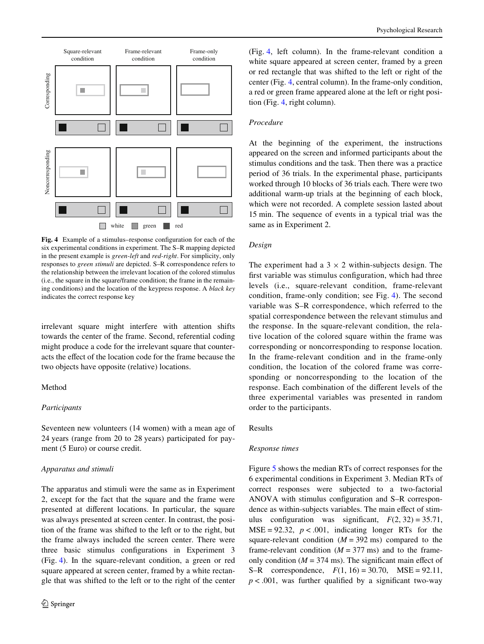

<span id="page-7-0"></span>**Fig. 4** Example of a stimulus–response configuration for each of the six experimental conditions in experiment. The S–R mapping depicted in the present example is *green-left* and *red-right*. For simplicity, only responses to *green stimuli* are depicted. S–R correspondence refers to the relationship between the irrelevant location of the colored stimulus (i.e., the square in the square/frame condition; the frame in the remaining conditions) and the location of the keypress response. A *black key* indicates the correct response key

irrelevant square might interfere with attention shifts towards the center of the frame. Second, referential coding might produce a code for the irrelevant square that counteracts the effect of the location code for the frame because the two objects have opposite (relative) locations.

# Method

# *Participants*

Seventeen new volunteers (14 women) with a mean age of 24 years (range from 20 to 28 years) participated for payment (5 Euro) or course credit.

#### *Apparatus and stimuli*

The apparatus and stimuli were the same as in Experiment 2, except for the fact that the square and the frame were presented at different locations. In particular, the square was always presented at screen center. In contrast, the position of the frame was shifted to the left or to the right, but the frame always included the screen center. There were three basic stimulus configurations in Experiment 3 (Fig. [4\)](#page-7-0). In the square-relevant condition, a green or red square appeared at screen center, framed by a white rectangle that was shifted to the left or to the right of the center (Fig. [4,](#page-7-0) left column). In the frame-relevant condition a white square appeared at screen center, framed by a green or red rectangle that was shifted to the left or right of the center (Fig. [4,](#page-7-0) central column). In the frame-only condition, a red or green frame appeared alone at the left or right position (Fig. [4,](#page-7-0) right column).

#### *Procedure*

At the beginning of the experiment, the instructions appeared on the screen and informed participants about the stimulus conditions and the task. Then there was a practice period of 36 trials. In the experimental phase, participants worked through 10 blocks of 36 trials each. There were two additional warm-up trials at the beginning of each block, which were not recorded. A complete session lasted about 15 min. The sequence of events in a typical trial was the same as in Experiment 2.

# *Design*

The experiment had a  $3 \times 2$  within-subjects design. The first variable was stimulus configuration, which had three levels (i.e., square-relevant condition, frame-relevant condition, frame-only condition; see Fig. [4\)](#page-7-0). The second variable was S–R correspondence, which referred to the spatial correspondence between the relevant stimulus and the response. In the square-relevant condition, the relative location of the colored square within the frame was corresponding or noncorresponding to response location. In the frame-relevant condition and in the frame-only condition, the location of the colored frame was corresponding or noncorresponding to the location of the response. Each combination of the different levels of the three experimental variables was presented in random order to the participants.

#### Results

#### *Response times*

Figure [5](#page-8-0) shows the median RTs of correct responses for the 6 experimental conditions in Experiment 3. Median RTs of correct responses were subjected to a two-factorial ANOVA with stimulus configuration and S–R correspondence as within-subjects variables. The main effect of stimulus configuration was significant,  $F(2, 32) = 35.71$ ,  $MSE = 92.32$ ,  $p < .001$ , indicating longer RTs for the square-relevant condition  $(M = 392 \text{ ms})$  compared to the frame-relevant condition  $(M = 377 \text{ ms})$  and to the frameonly condition ( $M = 374$  ms). The significant main effect of S–R correspondence, *F*(1, 16) = 30.70, MSE = 92.11,  $p < .001$ , was further qualified by a significant two-way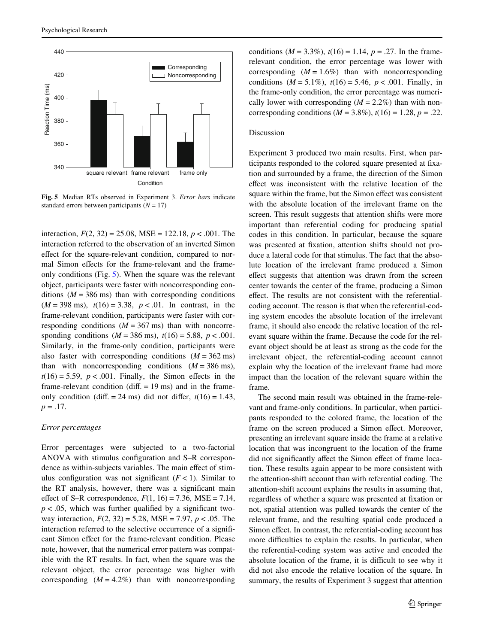

<span id="page-8-0"></span>**Fig. 5** Median RTs observed in Experiment 3. *Error bars* indicate standard errors between participants  $(N = 17)$ 

interaction,  $F(2, 32) = 25.08$ , MSE = 122.18,  $p < .001$ . The interaction referred to the observation of an inverted Simon effect for the square-relevant condition, compared to normal Simon effects for the frame-relevant and the frameonly conditions (Fig. [5](#page-8-0)). When the square was the relevant object, participants were faster with noncorresponding conditions  $(M = 386 \text{ ms})$  than with corresponding conditions  $(M = 398 \text{ ms})$ ,  $t(16) = 3.38$ ,  $p < .01$ . In contrast, in the frame-relevant condition, participants were faster with corresponding conditions  $(M = 367 \text{ ms})$  than with noncorresponding conditions  $(M = 386 \text{ ms})$ ,  $t(16) = 5.88$ ,  $p < .001$ . Similarly, in the frame-only condition, participants were also faster with corresponding conditions  $(M = 362 \text{ ms})$ than with noncorresponding conditions  $(M = 386 \text{ ms})$ ,  $t(16) = 5.59$ ,  $p < .001$ . Finally, the Simon effects in the frame-relevant condition (diff.  $= 19$  ms) and in the frameonly condition (diff.  $= 24$  ms) did not differ,  $t(16) = 1.43$ ,  $p = .17$ .

## *Error percentages*

Error percentages were subjected to a two-factorial ANOVA with stimulus configuration and S–R correspondence as within-subjects variables. The main effect of stimulus configuration was not significant  $(F < 1)$ . Similar to the RT analysis, however, there was a significant main effect of S–R correspondence,  $F(1, 16) = 7.36$ , MSE = 7.14,  $p < .05$ , which was further qualified by a significant twoway interaction, *F*(2, 32) = 5.28, MSE = 7.97, *p* < .05. The interaction referred to the selective occurrence of a significant Simon effect for the frame-relevant condition. Please note, however, that the numerical error pattern was compatible with the RT results. In fact, when the square was the relevant object, the error percentage was higher with corresponding  $(M = 4.2\%)$  than with noncorresponding conditions  $(M = 3.3\%)$ ,  $t(16) = 1.14$ ,  $p = .27$ . In the framerelevant condition, the error percentage was lower with corresponding  $(M = 1.6\%)$  than with noncorresponding conditions  $(M = 5.1\%)$ ,  $t(16) = 5.46$ ,  $p < .001$ . Finally, in the frame-only condition, the error percentage was numerically lower with corresponding  $(M = 2.2\%)$  than with noncorresponding conditions ( $M = 3.8\%$ ),  $t(16) = 1.28$ ,  $p = .22$ .

# Discussion

Experiment 3 produced two main results. First, when participants responded to the colored square presented at fixation and surrounded by a frame, the direction of the Simon effect was inconsistent with the relative location of the square within the frame, but the Simon effect was consistent with the absolute location of the irrelevant frame on the screen. This result suggests that attention shifts were more important than referential coding for producing spatial codes in this condition. In particular, because the square was presented at fixation, attention shifts should not produce a lateral code for that stimulus. The fact that the absolute location of the irrelevant frame produced a Simon effect suggests that attention was drawn from the screen center towards the center of the frame, producing a Simon effect. The results are not consistent with the referentialcoding account. The reason is that when the referential-coding system encodes the absolute location of the irrelevant frame, it should also encode the relative location of the relevant square within the frame. Because the code for the relevant object should be at least as strong as the code for the irrelevant object, the referential-coding account cannot explain why the location of the irrelevant frame had more impact than the location of the relevant square within the frame.

The second main result was obtained in the frame-relevant and frame-only conditions. In particular, when participants responded to the colored frame, the location of the frame on the screen produced a Simon effect. Moreover, presenting an irrelevant square inside the frame at a relative location that was incongruent to the location of the frame did not significantly affect the Simon effect of frame location. These results again appear to be more consistent with the attention-shift account than with referential coding. The attention-shift account explains the results in assuming that, regardless of whether a square was presented at fixation or not, spatial attention was pulled towards the center of the relevant frame, and the resulting spatial code produced a Simon effect. In contrast, the referential-coding account has more difficulties to explain the results. In particular, when the referential-coding system was active and encoded the absolute location of the frame, it is difficult to see why it did not also encode the relative location of the square. In summary, the results of Experiment 3 suggest that attention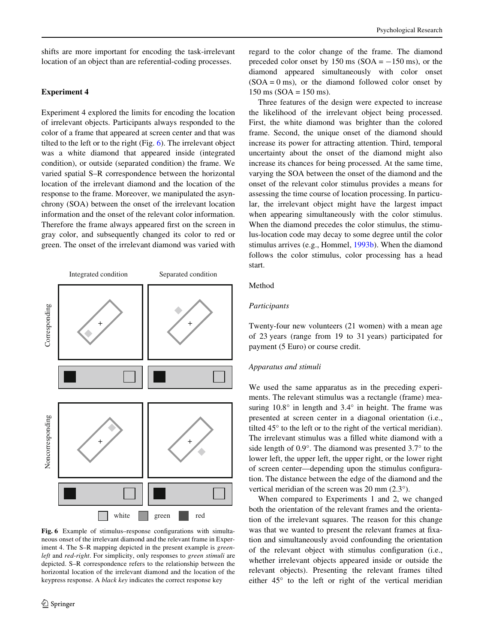shifts are more important for encoding the task-irrelevant location of an object than are referential-coding processes.

# **Experiment 4**

Experiment 4 explored the limits for encoding the location of irrelevant objects. Participants always responded to the color of a frame that appeared at screen center and that was tilted to the left or to the right (Fig. [6\)](#page-9-0). The irrelevant object was a white diamond that appeared inside (integrated condition), or outside (separated condition) the frame. We varied spatial S–R correspondence between the horizontal location of the irrelevant diamond and the location of the response to the frame. Moreover, we manipulated the asynchrony (SOA) between the onset of the irrelevant location information and the onset of the relevant color information. Therefore the frame always appeared first on the screen in gray color, and subsequently changed its color to red or green. The onset of the irrelevant diamond was varied with



<span id="page-9-0"></span>Fig. 6 Example of stimulus–response configurations with simultaneous onset of the irrelevant diamond and the relevant frame in Experiment 4. The S–R mapping depicted in the present example is *greenleft* and *red-right*. For simplicity, only responses to *green stimuli* are depicted. S–R correspondence refers to the relationship between the horizontal location of the irrelevant diamond and the location of the

regard to the color change of the frame. The diamond preceded color onset by 150 ms ( $SOA = -150$  ms), or the diamond appeared simultaneously with color onset  $(SOA = 0 \text{ ms})$ , or the diamond followed color onset by  $150 \text{ ms}$  (SOA =  $150 \text{ ms}$ ).

Three features of the design were expected to increase the likelihood of the irrelevant object being processed. First, the white diamond was brighter than the colored frame. Second, the unique onset of the diamond should increase its power for attracting attention. Third, temporal uncertainty about the onset of the diamond might also increase its chances for being processed. At the same time, varying the SOA between the onset of the diamond and the onset of the relevant color stimulus provides a means for assessing the time course of location processing. In particular, the irrelevant object might have the largest impact when appearing simultaneously with the color stimulus. When the diamond precedes the color stimulus, the stimulus-location code may decay to some degree until the color stimulus arrives (e.g., Hommel, [1993b\)](#page-13-16). When the diamond follows the color stimulus, color processing has a head start.

# Method

## *Participants*

Twenty-four new volunteers (21 women) with a mean age of 23 years (range from 19 to 31 years) participated for payment (5 Euro) or course credit.

#### *Apparatus and stimuli*

We used the same apparatus as in the preceding experiments. The relevant stimulus was a rectangle (frame) measuring 10.8° in length and 3.4° in height. The frame was presented at screen center in a diagonal orientation (i.e., tilted 45° to the left or to the right of the vertical meridian). The irrelevant stimulus was a filled white diamond with a side length of 0.9°. The diamond was presented 3.7° to the lower left, the upper left, the upper right, or the lower right of screen center—depending upon the stimulus configuration. The distance between the edge of the diamond and the vertical meridian of the screen was 20 mm (2.3°).

When compared to Experiments 1 and 2, we changed both the orientation of the relevant frames and the orientation of the irrelevant squares. The reason for this change was that we wanted to present the relevant frames at fixation and simultaneously avoid confounding the orientation of the relevant object with stimulus configuration (i.e., whether irrelevant objects appeared inside or outside the relevant objects). Presenting the relevant frames tilted either 45° to the left or right of the vertical meridian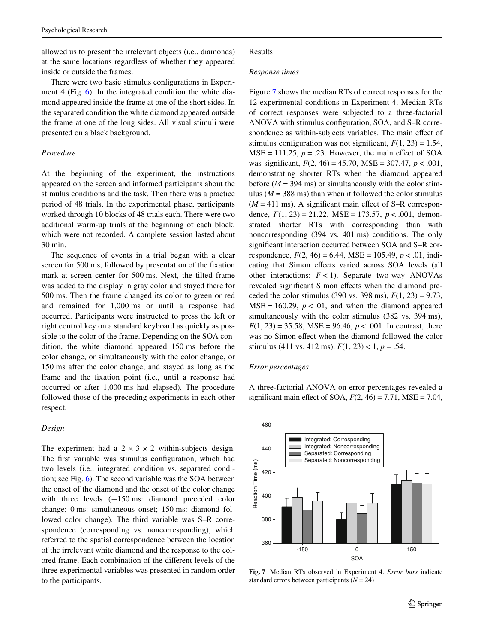allowed us to present the irrelevant objects (i.e., diamonds) at the same locations regardless of whether they appeared inside or outside the frames.

There were two basic stimulus configurations in Experiment 4 (Fig. [6\)](#page-9-0). In the integrated condition the white diamond appeared inside the frame at one of the short sides. In the separated condition the white diamond appeared outside the frame at one of the long sides. All visual stimuli were presented on a black background.

# *Procedure*

At the beginning of the experiment, the instructions appeared on the screen and informed participants about the stimulus conditions and the task. Then there was a practice period of 48 trials. In the experimental phase, participants worked through 10 blocks of 48 trials each. There were two additional warm-up trials at the beginning of each block, which were not recorded. A complete session lasted about 30 min.

The sequence of events in a trial began with a clear screen for 500 ms, followed by presentation of the fixation mark at screen center for 500 ms. Next, the tilted frame was added to the display in gray color and stayed there for 500 ms. Then the frame changed its color to green or red and remained for 1,000 ms or until a response had occurred. Participants were instructed to press the left or right control key on a standard keyboard as quickly as possible to the color of the frame. Depending on the SOA condition, the white diamond appeared 150 ms before the color change, or simultaneously with the color change, or 150 ms after the color change, and stayed as long as the frame and the fixation point (i.e., until a response had occurred or after 1,000 ms had elapsed). The procedure followed those of the preceding experiments in each other respect.

#### *Design*

The experiment had a  $2 \times 3 \times 2$  within-subjects design. The first variable was stimulus configuration, which had two levels (i.e., integrated condition vs. separated condition; see Fig. [6](#page-9-0)). The second variable was the SOA between the onset of the diamond and the onset of the color change with three levels  $(-150 \text{ ms}$ : diamond preceded color change; 0 ms: simultaneous onset; 150 ms: diamond followed color change). The third variable was S–R correspondence (corresponding vs. noncorresponding), which referred to the spatial correspondence between the location of the irrelevant white diamond and the response to the colored frame. Each combination of the different levels of the three experimental variables was presented in random order to the participants.

#### Results

#### *Response times*

Figure [7](#page-10-0) shows the median RTs of correct responses for the 12 experimental conditions in Experiment 4. Median RTs of correct responses were subjected to a three-factorial ANOVA with stimulus configuration, SOA, and S–R correspondence as within-subjects variables. The main effect of stimulus configuration was not significant,  $F(1, 23) = 1.54$ ,  $MSE = 111.25$ ,  $p = .23$ . However, the main effect of SOA was significant,  $F(2, 46) = 45.70$ ,  $MSE = 307.47$ ,  $p < .001$ , demonstrating shorter RTs when the diamond appeared before  $(M = 394 \text{ ms})$  or simultaneously with the color stimulus ( $M = 388$  ms) than when it followed the color stimulus  $(M = 411 \text{ ms})$ . A significant main effect of S–R correspondence,  $F(1, 23) = 21.22$ , MSE = 173.57,  $p < .001$ , demonstrated shorter RTs with corresponding than with noncorresponding (394 vs. 401 ms) conditions. The only significant interaction occurred between SOA and S–R correspondence,  $F(2, 46) = 6.44$ , MSE = 105.49,  $p < .01$ , indicating that Simon effects varied across SOA levels (all other interactions: *F* < 1). Separate two-way ANOVAs revealed significant Simon effects when the diamond preceded the color stimulus (390 vs. 398 ms),  $F(1, 23) = 9.73$ ,  $MSE = 160.29$ ,  $p < .01$ , and when the diamond appeared simultaneously with the color stimulus (382 vs. 394 ms),  $F(1, 23) = 35.58$ , MSE = 96.46,  $p < .001$ . In contrast, there was no Simon effect when the diamond followed the color stimulus (411 vs. 412 ms),  $F(1, 23) < 1, p = .54$ .

## *Error percentages*

A three-factorial ANOVA on error percentages revealed a significant main effect of SOA,  $F(2, 46) = 7.71$ , MSE = 7.04,



<span id="page-10-0"></span>**Fig. 7** Median RTs observed in Experiment 4. *Error bars* indicate standard errors between participants  $(N = 24)$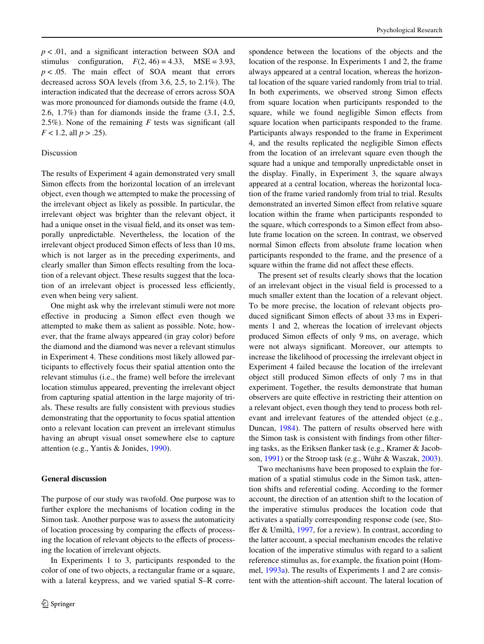$p < .01$ , and a significant interaction between SOA and stimulus configuration,  $F(2, 46) = 4.33$ ,  $MSE = 3.93$ ,  $p < .05$ . The main effect of SOA meant that errors decreased across SOA levels (from 3.6, 2.5, to 2.1%). The interaction indicated that the decrease of errors across SOA was more pronounced for diamonds outside the frame  $(4.0,$ 2.6, 1.7%) than for diamonds inside the frame (3.1, 2.5, 2.5%). None of the remaining  $F$  tests was significant (all  $F < 1.2$ , all  $p > .25$ ).

# Discussion

The results of Experiment 4 again demonstrated very small Simon effects from the horizontal location of an irrelevant object, even though we attempted to make the processing of the irrelevant object as likely as possible. In particular, the irrelevant object was brighter than the relevant object, it had a unique onset in the visual field, and its onset was temporally unpredictable. Nevertheless, the location of the irrelevant object produced Simon effects of less than 10 ms, which is not larger as in the preceding experiments, and clearly smaller than Simon effects resulting from the location of a relevant object. These results suggest that the location of an irrelevant object is processed less efficiently, even when being very salient.

One might ask why the irrelevant stimuli were not more effective in producing a Simon effect even though we attempted to make them as salient as possible. Note, however, that the frame always appeared (in gray color) before the diamond and the diamond was never a relevant stimulus in Experiment 4. These conditions most likely allowed participants to effectively focus their spatial attention onto the relevant stimulus (i.e., the frame) well before the irrelevant location stimulus appeared, preventing the irrelevant object from capturing spatial attention in the large majority of trials. These results are fully consistent with previous studies demonstrating that the opportunity to focus spatial attention onto a relevant location can prevent an irrelevant stimulus having an abrupt visual onset somewhere else to capture attention (e.g., Yantis & Jonides, [1990](#page-13-17)).

# **General discussion**

The purpose of our study was twofold. One purpose was to further explore the mechanisms of location coding in the Simon task. Another purpose was to assess the automaticity of location processing by comparing the effects of processing the location of relevant objects to the effects of processing the location of irrelevant objects.

In Experiments 1 to 3, participants responded to the color of one of two objects, a rectangular frame or a square, with a lateral keypress, and we varied spatial S–R correspondence between the locations of the objects and the location of the response. In Experiments 1 and 2, the frame always appeared at a central location, whereas the horizontal location of the square varied randomly from trial to trial. In both experiments, we observed strong Simon effects from square location when participants responded to the square, while we found negligible Simon effects from square location when participants responded to the frame. Participants always responded to the frame in Experiment 4, and the results replicated the negligible Simon effects from the location of an irrelevant square even though the square had a unique and temporally unpredictable onset in the display. Finally, in Experiment 3, the square always appeared at a central location, whereas the horizontal location of the frame varied randomly from trial to trial. Results demonstrated an inverted Simon effect from relative square location within the frame when participants responded to the square, which corresponds to a Simon effect from absolute frame location on the screen. In contrast, we observed normal Simon effects from absolute frame location when participants responded to the frame, and the presence of a square within the frame did not affect these effects.

The present set of results clearly shows that the location of an irrelevant object in the visual field is processed to a much smaller extent than the location of a relevant object. To be more precise, the location of relevant objects produced significant Simon effects of about 33 ms in Experiments 1 and 2, whereas the location of irrelevant objects produced Simon effects of only 9 ms, on average, which were not always significant. Moreover, our attempts to increase the likelihood of processing the irrelevant object in Experiment 4 failed because the location of the irrelevant object still produced Simon effects of only 7 ms in that experiment. Together, the results demonstrate that human observers are quite effective in restricting their attention on a relevant object, even though they tend to process both relevant and irrelevant features of the attended object (e.g., Duncan, [1984](#page-13-18)). The pattern of results observed here with the Simon task is consistent with findings from other filtering tasks, as the Eriksen flanker task (e.g., Kramer & Jacobson, [1991\)](#page-13-10) or the Stroop task (e.g., Wühr & Waszak, [2003](#page-13-11)).

Two mechanisms have been proposed to explain the formation of a spatial stimulus code in the Simon task, attention shifts and referential coding. According to the former account, the direction of an attention shift to the location of the imperative stimulus produces the location code that activates a spatially corresponding response code (see, Sto-ffer & Umiltà, [1997](#page-13-8), for a review). In contrast, according to the latter account, a special mechanism encodes the relative location of the imperative stimulus with regard to a salient reference stimulus as, for example, the fixation point (Hommel, [1993a\)](#page-13-9). The results of Experiments 1 and 2 are consistent with the attention-shift account. The lateral location of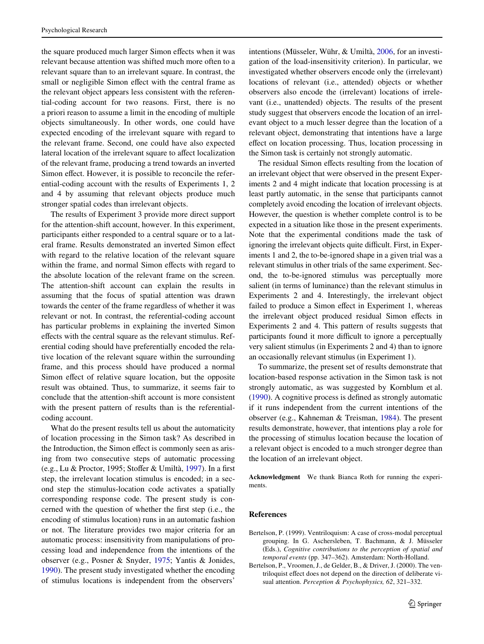the square produced much larger Simon effects when it was relevant because attention was shifted much more often to a relevant square than to an irrelevant square. In contrast, the small or negligible Simon effect with the central frame as the relevant object appears less consistent with the referential-coding account for two reasons. First, there is no a priori reason to assume a limit in the encoding of multiple objects simultaneously. In other words, one could have expected encoding of the irrelevant square with regard to the relevant frame. Second, one could have also expected lateral location of the irrelevant square to affect localization of the relevant frame, producing a trend towards an inverted Simon effect. However, it is possible to reconcile the referential-coding account with the results of Experiments 1, 2 and 4 by assuming that relevant objects produce much stronger spatial codes than irrelevant objects.

The results of Experiment 3 provide more direct support for the attention-shift account, however. In this experiment, participants either responded to a central square or to a lateral frame. Results demonstrated an inverted Simon effect with regard to the relative location of the relevant square within the frame, and normal Simon effects with regard to the absolute location of the relevant frame on the screen. The attention-shift account can explain the results in assuming that the focus of spatial attention was drawn towards the center of the frame regardless of whether it was relevant or not. In contrast, the referential-coding account has particular problems in explaining the inverted Simon effects with the central square as the relevant stimulus. Referential coding should have preferentially encoded the relative location of the relevant square within the surrounding frame, and this process should have produced a normal Simon effect of relative square location, but the opposite result was obtained. Thus, to summarize, it seems fair to conclude that the attention-shift account is more consistent with the present pattern of results than is the referentialcoding account.

What do the present results tell us about the automaticity of location processing in the Simon task? As described in the Introduction, the Simon effect is commonly seen as arising from two consecutive steps of automatic processing (e.g., Lu & Proctor, 1995; Stoffer & Umiltà, [1997](#page-13-8)). In a first step, the irrelevant location stimulus is encoded; in a second step the stimulus-location code activates a spatially corresponding response code. The present study is concerned with the question of whether the first step (i.e., the encoding of stimulus location) runs in an automatic fashion or not. The literature provides two major criteria for an automatic process: insensitivity from manipulations of processing load and independence from the intentions of the observer (e.g., Posner & Snyder, [1975](#page-13-19); Yantis & Jonides, [1990](#page-13-17)). The present study investigated whether the encoding of stimulus locations is independent from the observers'

intentions (Müsseler, Wühr, & Umiltà, [2006](#page-13-20), for an investigation of the load-insensitivity criterion). In particular, we investigated whether observers encode only the (irrelevant) locations of relevant (i.e., attended) objects or whether observers also encode the (irrelevant) locations of irrelevant (i.e., unattended) objects. The results of the present study suggest that observers encode the location of an irrelevant object to a much lesser degree than the location of a relevant object, demonstrating that intentions have a large effect on location processing. Thus, location processing in the Simon task is certainly not strongly automatic.

The residual Simon effects resulting from the location of an irrelevant object that were observed in the present Experiments 2 and 4 might indicate that location processing is at least partly automatic, in the sense that participants cannot completely avoid encoding the location of irrelevant objects. However, the question is whether complete control is to be expected in a situation like those in the present experiments. Note that the experimental conditions made the task of ignoring the irrelevant objects quite difficult. First, in Experiments 1 and 2, the to-be-ignored shape in a given trial was a relevant stimulus in other trials of the same experiment. Second, the to-be-ignored stimulus was perceptually more salient (in terms of luminance) than the relevant stimulus in Experiments 2 and 4. Interestingly, the irrelevant object failed to produce a Simon effect in Experiment 1, whereas the irrelevant object produced residual Simon effects in Experiments 2 and 4. This pattern of results suggests that participants found it more difficult to ignore a perceptually very salient stimulus (in Experiments 2 and 4) than to ignore an occasionally relevant stimulus (in Experiment 1).

To summarize, the present set of results demonstrate that location-based response activation in the Simon task is not strongly automatic, as was suggested by Kornblum et al.  $(1990)$ . A cognitive process is defined as strongly automatic if it runs independent from the current intentions of the observer (e.g., Kahneman & Treisman, [1984\)](#page-13-0). The present results demonstrate, however, that intentions play a role for the processing of stimulus location because the location of a relevant object is encoded to a much stronger degree than the location of an irrelevant object.

**Acknowledgment** We thank Bianca Roth for running the experiments.

## **References**

- <span id="page-12-1"></span>Bertelson, P. (1999). Ventriloquism: A case of cross-modal perceptual grouping. In G. Aschersleben, T. Bachmann, & J. Müsseler (Eds.), *Cognitive contributions to the perception of spatial and temporal events* (pp. 347–362). Amsterdam: North-Holland.
- <span id="page-12-0"></span>Bertelson, P., Vroomen, J., de Gelder, B., & Driver, J. (2000). The ventriloquist effect does not depend on the direction of deliberate visual attention. *Perception & Psychophysics, 62*, 321–332.